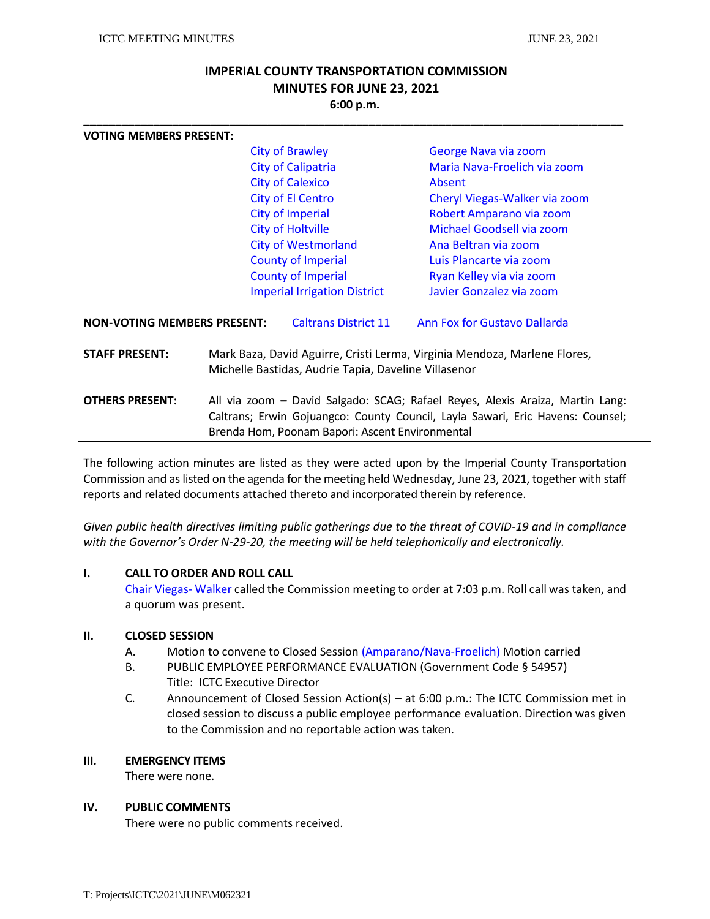# **IMPERIAL COUNTY TRANSPORTATION COMMISSION MINUTES FOR JUNE 23, 2021 6:00 p.m.**

**\_\_\_\_\_\_\_\_\_\_\_\_\_\_\_\_\_\_\_\_\_\_\_\_\_\_\_\_\_\_\_\_\_\_\_\_\_\_\_\_\_\_\_\_\_\_\_\_\_\_\_\_\_\_\_\_\_\_\_\_\_\_\_\_\_\_\_\_\_\_\_\_\_\_\_\_\_\_\_\_\_\_\_\_\_**

| <b>VOTING MEMBERS PRESENT:</b>     |                                                                                                                                                                                                                    |                                     |                                                      |  |
|------------------------------------|--------------------------------------------------------------------------------------------------------------------------------------------------------------------------------------------------------------------|-------------------------------------|------------------------------------------------------|--|
|                                    | <b>City of Brawley</b><br><b>City of Calipatria</b>                                                                                                                                                                |                                     | George Nava via zoom<br>Maria Nava-Froelich via zoom |  |
|                                    |                                                                                                                                                                                                                    |                                     |                                                      |  |
|                                    |                                                                                                                                                                                                                    | <b>City of Calexico</b>             | Absent<br>Cheryl Viegas-Walker via zoom              |  |
|                                    |                                                                                                                                                                                                                    | <b>City of El Centro</b>            |                                                      |  |
|                                    |                                                                                                                                                                                                                    | <b>City of Imperial</b>             | Robert Amparano via zoom                             |  |
|                                    |                                                                                                                                                                                                                    | <b>City of Holtville</b>            | Michael Goodsell via zoom                            |  |
|                                    | <b>City of Westmorland</b>                                                                                                                                                                                         |                                     | Ana Beltran via zoom                                 |  |
|                                    |                                                                                                                                                                                                                    | <b>County of Imperial</b>           | Luis Plancarte via zoom                              |  |
|                                    |                                                                                                                                                                                                                    | <b>County of Imperial</b>           | Ryan Kelley via via zoom                             |  |
|                                    |                                                                                                                                                                                                                    | <b>Imperial Irrigation District</b> | Javier Gonzalez via zoom                             |  |
| <b>NON-VOTING MEMBERS PRESENT:</b> |                                                                                                                                                                                                                    | <b>Caltrans District 11</b>         | Ann Fox for Gustavo Dallarda                         |  |
| <b>STAFF PRESENT:</b>              | Mark Baza, David Aguirre, Cristi Lerma, Virginia Mendoza, Marlene Flores,<br>Michelle Bastidas, Audrie Tapia, Daveline Villasenor                                                                                  |                                     |                                                      |  |
| <b>OTHERS PRESENT:</b>             | All via zoom - David Salgado: SCAG; Rafael Reyes, Alexis Araiza, Martin Lang:<br>Caltrans; Erwin Gojuangco: County Council, Layla Sawari, Eric Havens: Counsel;<br>Brenda Hom, Poonam Bapori: Ascent Environmental |                                     |                                                      |  |
|                                    |                                                                                                                                                                                                                    |                                     |                                                      |  |

The following action minutes are listed as they were acted upon by the Imperial County Transportation Commission and as listed on the agenda for the meeting held Wednesday, June 23, 2021, together with staff reports and related documents attached thereto and incorporated therein by reference.

*Given public health directives limiting public gatherings due to the threat of COVID-19 and in compliance with the Governor's Order N-29-20, the meeting will be held telephonically and electronically.* 

### **I. CALL TO ORDER AND ROLL CALL**

Chair Viegas- Walker called the Commission meeting to order at 7:03 p.m. Roll call was taken, and a quorum was present.

### **II. CLOSED SESSION**

- A. Motion to convene to Closed Session (Amparano/Nava-Froelich) Motion carried
- B. PUBLIC EMPLOYEE PERFORMANCE EVALUATION (Government Code § 54957) Title: ICTC Executive Director
- C. Announcement of Closed Session Action(s) at 6:00 p.m.: The ICTC Commission met in closed session to discuss a public employee performance evaluation. Direction was given to the Commission and no reportable action was taken.

### **III. EMERGENCY ITEMS**

There were none.

### **IV. PUBLIC COMMENTS**

There were no public comments received.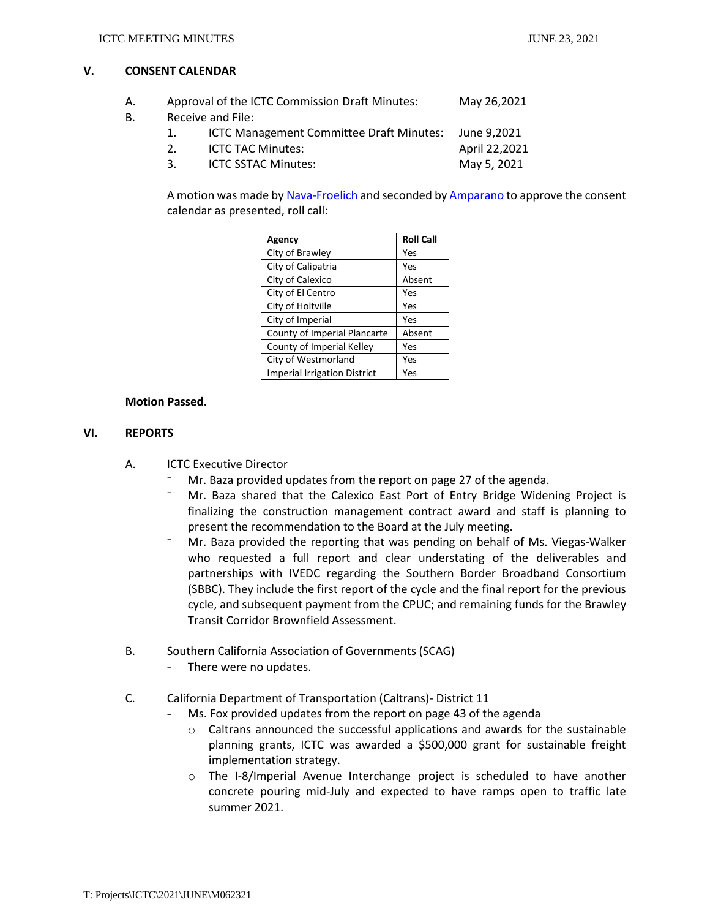## **V. CONSENT CALENDAR**

| А. |               | Approval of the ICTC Commission Draft Minutes: |               |  |
|----|---------------|------------------------------------------------|---------------|--|
| В. |               | Receive and File:                              |               |  |
|    | 1.            | ICTC Management Committee Draft Minutes:       | June 9.2021   |  |
|    | $\mathcal{P}$ | <b>ICTC TAC Minutes:</b>                       | April 22,2021 |  |
|    | 3             | <b>ICTC SSTAC Minutes:</b>                     | May 5, 2021   |  |

A motion was made by Nava-Froelich and seconded by Amparano to approve the consent calendar as presented, roll call:

| Agency                              | <b>Roll Call</b> |
|-------------------------------------|------------------|
| City of Brawley                     | Yes              |
| City of Calipatria                  | Yes              |
| City of Calexico                    | Absent           |
| City of El Centro                   | Yes              |
| City of Holtville                   | Yes              |
| City of Imperial                    | Yes              |
| County of Imperial Plancarte        | Absent           |
| County of Imperial Kelley           | Yes              |
| City of Westmorland                 | Yes              |
| <b>Imperial Irrigation District</b> | Yes              |

### **Motion Passed.**

### **VI. REPORTS**

- A. ICTC Executive Director
	- Mr. Baza provided updates from the report on page 27 of the agenda.
	- ⁻ Mr. Baza shared that the Calexico East Port of Entry Bridge Widening Project is finalizing the construction management contract award and staff is planning to present the recommendation to the Board at the July meeting.
	- Mr. Baza provided the reporting that was pending on behalf of Ms. Viegas-Walker who requested a full report and clear understating of the deliverables and partnerships with IVEDC regarding the Southern Border Broadband Consortium (SBBC). They include the first report of the cycle and the final report for the previous cycle, and subsequent payment from the CPUC; and remaining funds for the Brawley Transit Corridor Brownfield Assessment.
- B. Southern California Association of Governments (SCAG)
	- There were no updates.
- C. California Department of Transportation (Caltrans)- District 11
	- Ms. Fox provided updates from the report on page 43 of the agenda
		- o Caltrans announced the successful applications and awards for the sustainable planning grants, ICTC was awarded a \$500,000 grant for sustainable freight implementation strategy.
		- o The I-8/Imperial Avenue Interchange project is scheduled to have another concrete pouring mid-July and expected to have ramps open to traffic late summer 2021.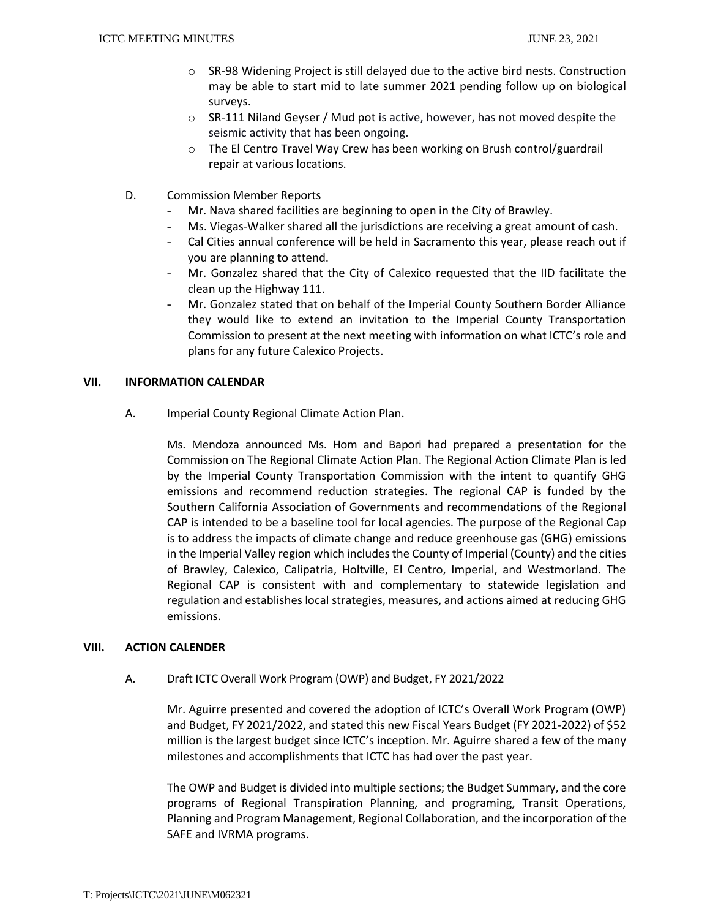- o SR-98 Widening Project is still delayed due to the active bird nests. Construction may be able to start mid to late summer 2021 pending follow up on biological surveys.
- o SR-111 Niland Geyser / Mud pot is active, however, has not moved despite the seismic activity that has been ongoing.
- o The El Centro Travel Way Crew has been working on Brush control/guardrail repair at various locations.
- D. Commission Member Reports
	- Mr. Nava shared facilities are beginning to open in the City of Brawley.
	- Ms. Viegas-Walker shared all the jurisdictions are receiving a great amount of cash.
	- Cal Cities annual conference will be held in Sacramento this year, please reach out if you are planning to attend.
	- Mr. Gonzalez shared that the City of Calexico requested that the IID facilitate the clean up the Highway 111.
	- Mr. Gonzalez stated that on behalf of the Imperial County Southern Border Alliance they would like to extend an invitation to the Imperial County Transportation Commission to present at the next meeting with information on what ICTC's role and plans for any future Calexico Projects.

### **VII. INFORMATION CALENDAR**

A. Imperial County Regional Climate Action Plan.

Ms. Mendoza announced Ms. Hom and Bapori had prepared a presentation for the Commission on The Regional Climate Action Plan. The Regional Action Climate Plan is led by the Imperial County Transportation Commission with the intent to quantify GHG emissions and recommend reduction strategies. The regional CAP is funded by the Southern California Association of Governments and recommendations of the Regional CAP is intended to be a baseline tool for local agencies. The purpose of the Regional Cap is to address the impacts of climate change and reduce greenhouse gas (GHG) emissions in the Imperial Valley region which includes the County of Imperial (County) and the cities of Brawley, Calexico, Calipatria, Holtville, El Centro, Imperial, and Westmorland. The Regional CAP is consistent with and complementary to statewide legislation and regulation and establishes local strategies, measures, and actions aimed at reducing GHG emissions.

### **VIII. ACTION CALENDER**

### A. Draft ICTC Overall Work Program (OWP) and Budget, FY 2021/2022

Mr. Aguirre presented and covered the adoption of ICTC's Overall Work Program (OWP) and Budget, FY 2021/2022, and stated this new Fiscal Years Budget (FY 2021-2022) of \$52 million is the largest budget since ICTC's inception. Mr. Aguirre shared a few of the many milestones and accomplishments that ICTC has had over the past year.

The OWP and Budget is divided into multiple sections; the Budget Summary, and the core programs of Regional Transpiration Planning, and programing, Transit Operations, Planning and Program Management, Regional Collaboration, and the incorporation of the SAFE and IVRMA programs.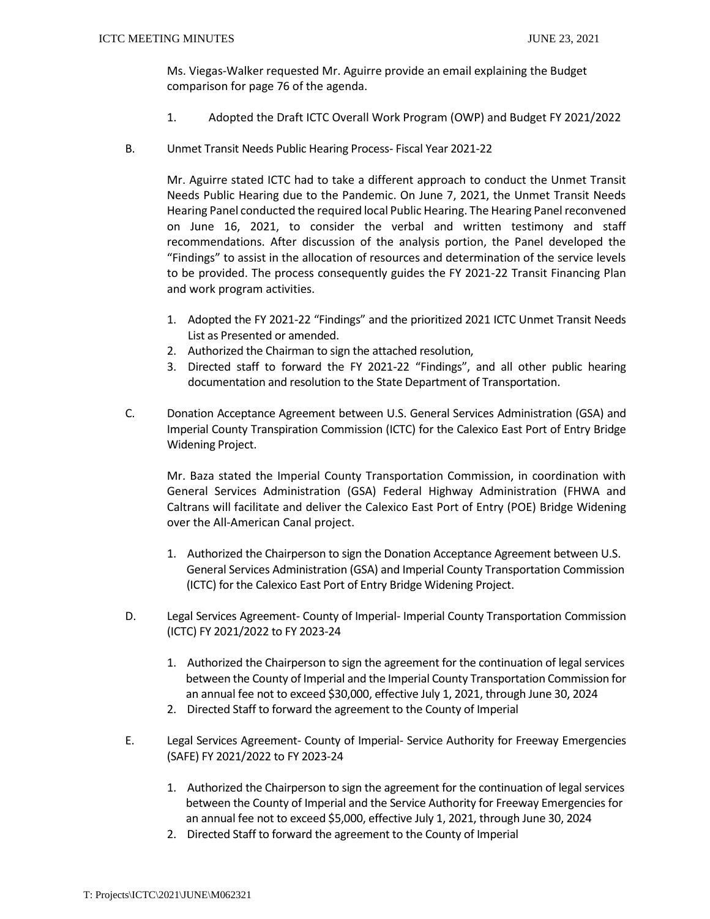Ms. Viegas-Walker requested Mr. Aguirre provide an email explaining the Budget comparison for page 76 of the agenda.

- 1. Adopted the Draft ICTC Overall Work Program (OWP) and Budget FY 2021/2022
- B. Unmet Transit Needs Public Hearing Process- Fiscal Year 2021-22

Mr. Aguirre stated ICTC had to take a different approach to conduct the Unmet Transit Needs Public Hearing due to the Pandemic. On June 7, 2021, the Unmet Transit Needs Hearing Panel conducted the required local Public Hearing. The Hearing Panel reconvened on June 16, 2021, to consider the verbal and written testimony and staff recommendations. After discussion of the analysis portion, the Panel developed the "Findings" to assist in the allocation of resources and determination of the service levels to be provided. The process consequently guides the FY 2021-22 Transit Financing Plan and work program activities.

- 1. Adopted the FY 2021-22 "Findings" and the prioritized 2021 ICTC Unmet Transit Needs List as Presented or amended.
- 2. Authorized the Chairman to sign the attached resolution,
- 3. Directed staff to forward the FY 2021-22 "Findings", and all other public hearing documentation and resolution to the State Department of Transportation.
- C. Donation Acceptance Agreement between U.S. General Services Administration (GSA) and Imperial County Transpiration Commission (ICTC) for the Calexico East Port of Entry Bridge Widening Project.

Mr. Baza stated the Imperial County Transportation Commission, in coordination with General Services Administration (GSA) Federal Highway Administration (FHWA and Caltrans will facilitate and deliver the Calexico East Port of Entry (POE) Bridge Widening over the All-American Canal project.

- 1. Authorized the Chairperson to sign the Donation Acceptance Agreement between U.S. General Services Administration (GSA) and Imperial County Transportation Commission (ICTC) for the Calexico East Port of Entry Bridge Widening Project.
- D. Legal Services Agreement- County of Imperial- Imperial County Transportation Commission (ICTC) FY 2021/2022 to FY 2023-24
	- 1. Authorized the Chairperson to sign the agreement for the continuation of legal services between the County of Imperial and the Imperial County Transportation Commission for an annual fee not to exceed \$30,000, effective July 1, 2021, through June 30, 2024
	- 2. Directed Staff to forward the agreement to the County of Imperial
- E. Legal Services Agreement- County of Imperial- Service Authority for Freeway Emergencies (SAFE) FY 2021/2022 to FY 2023-24
	- 1. Authorized the Chairperson to sign the agreement for the continuation of legal services between the County of Imperial and the Service Authority for Freeway Emergencies for an annual fee not to exceed \$5,000, effective July 1, 2021, through June 30, 2024
	- 2. Directed Staff to forward the agreement to the County of Imperial